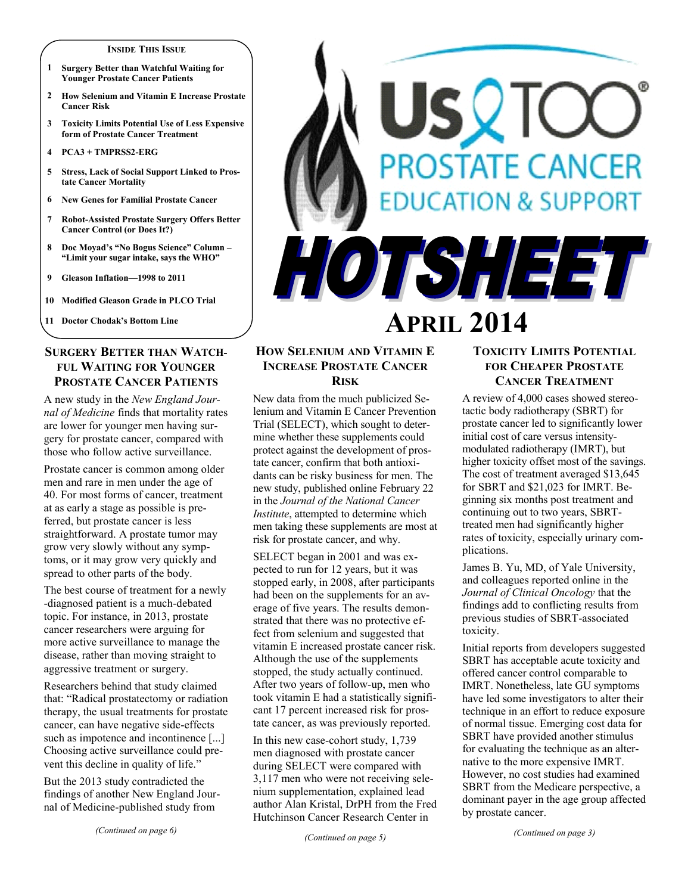#### **INSIDE THIS ISSUE**

- **1 Surgery Better than Watchful Waiting for Younger Prostate Cancer Patients**
- **2 How Selenium and Vitamin E Increase Prostate Cancer Risk**
- **3 Toxicity Limits Potential Use of Less Expensive form of Prostate Cancer Treatment**
- **4 PCA3 + TMPRSS2-ERG**
- **5 Stress, Lack of Social Support Linked to Prostate Cancer Mortality**
- **6 New Genes for Familial Prostate Cancer**
- **7 Robot-Assisted Prostate Surgery Offers Better Cancer Control (or Does It?)**
- **8 Doc Moyad's "No Bogus Science" Column – "Limit your sugar intake, says the WHO"**
- **9 Gleason Inflation—1998 to 2011**
- **10 Modified Gleason Grade in PLCO Trial**

**11 Doctor Chodak's Bottom Line**

# **SURGERY BETTER THAN WATCH-FUL WAITING FOR YOUNGER PROSTATE CANCER PATIENTS**

A new study in the *New England Journal of Medicine* finds that mortality rates are lower for younger men having surgery for prostate cancer, compared with those who follow active surveillance.

Prostate cancer is common among older men and rare in men under the age of 40. For most forms of cancer, treatment at as early a stage as possible is preferred, but prostate cancer is less straightforward. A prostate tumor may grow very slowly without any symptoms, or it may grow very quickly and spread to other parts of the body.

The best course of treatment for a newly -diagnosed patient is a much-debated topic. For instance, in 2013, prostate cancer researchers were arguing for more active surveillance to manage the disease, rather than moving straight to aggressive treatment or surgery.

Researchers behind that study claimed that: "Radical prostatectomy or radiation therapy, the usual treatments for prostate cancer, can have negative side-effects such as impotence and incontinence [...] Choosing active surveillance could prevent this decline in quality of life."

But the 2013 study contradicted the findings of another New England Journal of Medicine-published study from

# SVIC **OSTATE CANCER** CATION & SUPPORT HOTSHEET

# **APRIL 2014**

# **HOW SELENIUM AND VITAMIN E INCREASE PROSTATE CANCER RISK**

New data from the much publicized Selenium and Vitamin E Cancer Prevention Trial (SELECT), which sought to determine whether these supplements could protect against the development of prostate cancer, confirm that both antioxidants can be risky business for men. The new study, published online February 22 in the *Journal of the National Cancer Institute*, attempted to determine which men taking these supplements are most at risk for prostate cancer, and why.

SELECT began in 2001 and was expected to run for 12 years, but it was stopped early, in 2008, after participants had been on the supplements for an average of five years. The results demonstrated that there was no protective effect from selenium and suggested that vitamin E increased prostate cancer risk. Although the use of the supplements stopped, the study actually continued. After two years of follow-up, men who took vitamin E had a statistically significant 17 percent increased risk for prostate cancer, as was previously reported.

In this new case-cohort study, 1,739 men diagnosed with prostate cancer during SELECT were compared with 3,117 men who were not receiving selenium supplementation, explained lead author Alan Kristal, DrPH from the Fred Hutchinson Cancer Research Center in

# **TOXICITY LIMITS POTENTIAL FOR CHEAPER PROSTATE CANCER TREATMENT**

A review of 4,000 cases showed stereotactic body radiotherapy (SBRT) for prostate cancer led to significantly lower initial cost of care versus intensitymodulated radiotherapy (IMRT), but higher toxicity offset most of the savings. The cost of treatment averaged \$13,645 for SBRT and \$21,023 for IMRT. Beginning six months post treatment and continuing out to two years, SBRTtreated men had significantly higher rates of toxicity, especially urinary complications.

James B. Yu, MD, of Yale University, and colleagues reported online in the *Journal of Clinical Oncology* that the findings add to conflicting results from previous studies of SBRT-associated toxicity.

Initial reports from developers suggested SBRT has acceptable acute toxicity and offered cancer control comparable to IMRT. Nonetheless, late GU symptoms have led some investigators to alter their technique in an effort to reduce exposure of normal tissue. Emerging cost data for SBRT have provided another stimulus for evaluating the technique as an alternative to the more expensive IMRT. However, no cost studies had examined SBRT from the Medicare perspective, a dominant payer in the age group affected by prostate cancer.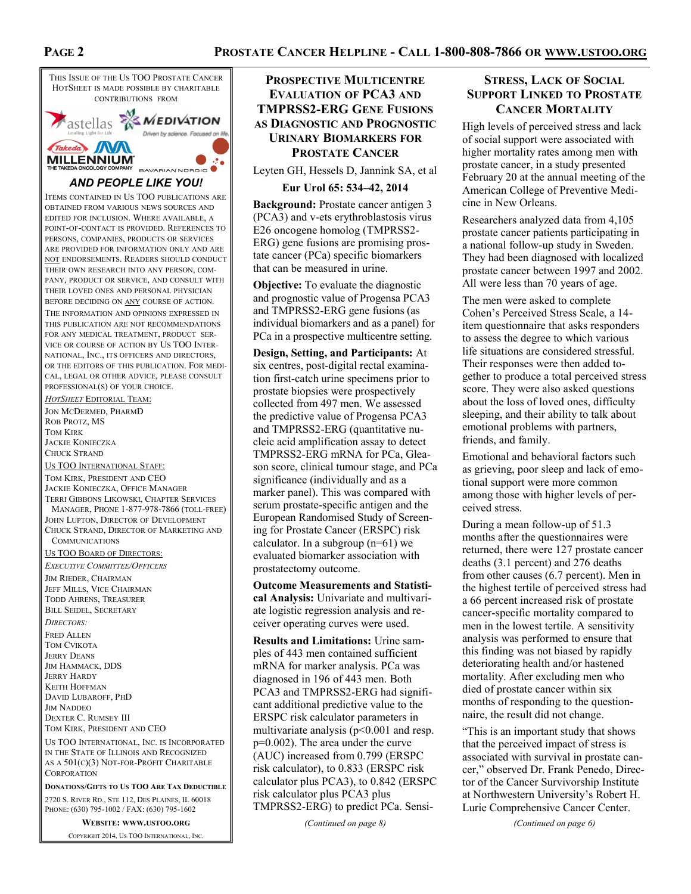### **PROSTATE CANCER HELPLINE - CALL 1-800-808-7866 OR WWW.USTOO.ORG**



THIS ISSUE OF THE US TOO PROSTATE CANCER HOTSHEET IS MADE POSSIBLE BY CHARITABLE CONTRIBUTIONS FROM Astellas **WEDIVATION** Driven by science. Focused on life Takeda NV MILLENNIUM<sup>\*</sup><br>THE TAKEDA ONCOLOGY COMPANY  $\mathcal{L}$ BAVARIAN NORDIO *AND PEOPLE LIKE YOU!* ITEMS CONTAINED IN US TOO PUBLICATIONS ARE OBTAINED FROM VARIOUS NEWS SOURCES AND EDITED FOR INCLUSION. WHERE AVAILABLE, A POINT-OF-CONTACT IS PROVIDED. REFERENCES TO PERSONS, COMPANIES, PRODUCTS OR SERVICES ARE PROVIDED FOR INFORMATION ONLY AND ARE NOT ENDORSEMENTS. READERS SHOULD CONDUCT THEIR OWN RESEARCH INTO ANY PERSON, COM-PANY, PRODUCT OR SERVICE, AND CONSULT WITH THEIR LOVED ONES AND PERSONAL PHYSICIAN BEFORE DECIDING ON ANY COURSE OF ACTION. THE INFORMATION AND OPINIONS EXPRESSED IN THIS PUBLICATION ARE NOT RECOMMENDATIONS FOR ANY MEDICAL TREATMENT, PRODUCT SER-VICE OR COURSE OF ACTION BY US TOO INTER-NATIONAL, INC., ITS OFFICERS AND DIRECTORS, OR THE EDITORS OF THIS PUBLICATION. FOR MEDI-CAL, LEGAL OR OTHER ADVICE, PLEASE CONSULT PROFESSIONAL(S) OF YOUR CHOICE. *HOTSHEET* EDITORIAL TEAM: JON MCDERMED, PHARMD ROB PROTZ, MS TOM KIRK JACKIE KONIECZKA CHUCK STRAND US TOO INTERNATIONAL STAFF: TOM KIRK, PRESIDENT AND CEO JACKIE KONIECZKA, OFFICE MANAGER TERRI GIBBONS LIKOWSKI, CHAPTER SERVICES MANAGER, PHONE 1-877-978-7866 (TOLL-FREE) JOHN LUPTON, DIRECTOR OF DEVELOPMENT CHUCK STRAND, DIRECTOR OF MARKETING AND **COMMUNICATIONS** US TOO BOARD OF DIRECTORS: *EXECUTIVE COMMITTEE/OFFICERS* JIM RIEDER, CHAIRMAN JEFF MILLS, VICE CHAIRMAN TODD AHRENS, TREASURER BILL SEIDEL, SECRETARY *DIRECTORS:* FRED ALLEN TOM CVIKOTA JERRY DEANS JIM HAMMACK, DDS JERRY HARDY KEITH HOFFMAN DAVID LUBAROFF, PHD JIM NADDEO DEXTER C. RUMSEY III TOM KIRK, PRESIDENT AND CEO US TOO INTERNATIONAL, INC. IS INCORPORATED IN THE STATE OF ILLINOIS AND RECOGNIZED AS A  $501(C)(3)$  NOT-FOR-PROFIT CHARITABLE **CORPORATION DONATIONS/GIFTS TO US TOO ARE TAX DEDUCTIBLE** 2720 S. RIVER RD., STE 112, DES PLAINES, IL 60018

PHONE: (630) 795-1002 / FAX: (630) 795-1602

**WEBSITE: WWW.USTOO.ORG** COPYRIGHT 2014, US TOO INTERNATIONAL, INC.

**PROSPECTIVE MULTICENTRE EVALUATION OF PCA3 AND TMPRSS2-ERG GENE FUSIONS AS DIAGNOSTIC AND PROGNOSTIC URINARY BIOMARKERS FOR PROSTATE CANCER**

Leyten GH, Hessels D, Jannink SA, et al

#### **Eur Urol 65: 534–42, 2014**

**Background:** Prostate cancer antigen 3 (PCA3) and v-ets erythroblastosis virus E26 oncogene homolog (TMPRSS2- ERG) gene fusions are promising prostate cancer (PCa) specific biomarkers that can be measured in urine.

**Objective:** To evaluate the diagnostic and prognostic value of Progensa PCA3 and TMPRSS2-ERG gene fusions (as individual biomarkers and as a panel) for PCa in a prospective multicentre setting.

**Design, Setting, and Participants:** At six centres, post-digital rectal examination first-catch urine specimens prior to prostate biopsies were prospectively collected from 497 men. We assessed the predictive value of Progensa PCA3 and TMPRSS2-ERG (quantitative nucleic acid amplification assay to detect TMPRSS2-ERG mRNA for PCa, Gleason score, clinical tumour stage, and PCa significance (individually and as a marker panel). This was compared with serum prostate-specific antigen and the European Randomised Study of Screening for Prostate Cancer (ERSPC) risk calculator. In a subgroup  $(n=61)$  we evaluated biomarker association with prostatectomy outcome.

**Outcome Measurements and Statistical Analysis:** Univariate and multivariate logistic regression analysis and receiver operating curves were used.

**Results and Limitations:** Urine samples of 443 men contained sufficient mRNA for marker analysis. PCa was diagnosed in 196 of 443 men. Both PCA3 and TMPRSS2-ERG had significant additional predictive value to the ERSPC risk calculator parameters in multivariate analysis  $(p<0.001$  and resp. p=0.002). The area under the curve (AUC) increased from 0.799 (ERSPC risk calculator), to 0.833 (ERSPC risk calculator plus PCA3), to 0.842 (ERSPC risk calculator plus PCA3 plus TMPRSS2-ERG) to predict PCa. Sensi-

*(Continued on page 8)*

# **STRESS, LACK OF SOCIAL SUPPORT LINKED TO PROSTATE CANCER MORTALITY**

High levels of perceived stress and lack of social support were associated with higher mortality rates among men with prostate cancer, in a study presented February 20 at the annual meeting of the American College of Preventive Medicine in New Orleans.

Researchers analyzed data from 4,105 prostate cancer patients participating in a national follow-up study in Sweden. They had been diagnosed with localized prostate cancer between 1997 and 2002. All were less than 70 years of age.

The men were asked to complete Cohen's Perceived Stress Scale, a 14 item questionnaire that asks responders to assess the degree to which various life situations are considered stressful. Their responses were then added together to produce a total perceived stress score. They were also asked questions about the loss of loved ones, difficulty sleeping, and their ability to talk about emotional problems with partners, friends, and family.

Emotional and behavioral factors such as grieving, poor sleep and lack of emotional support were more common among those with higher levels of perceived stress.

During a mean follow-up of 51.3 months after the questionnaires were returned, there were 127 prostate cancer deaths (3.1 percent) and 276 deaths from other causes (6.7 percent). Men in the highest tertile of perceived stress had a 66 percent increased risk of prostate cancer-specific mortality compared to men in the lowest tertile. A sensitivity analysis was performed to ensure that this finding was not biased by rapidly deteriorating health and/or hastened mortality. After excluding men who died of prostate cancer within six months of responding to the questionnaire, the result did not change.

"This is an important study that shows that the perceived impact of stress is associated with survival in prostate cancer," observed Dr. Frank Penedo, Director of the Cancer Survivorship Institute at Northwestern University's Robert H. Lurie Comprehensive Cancer Center.

*(Continued on page 6)*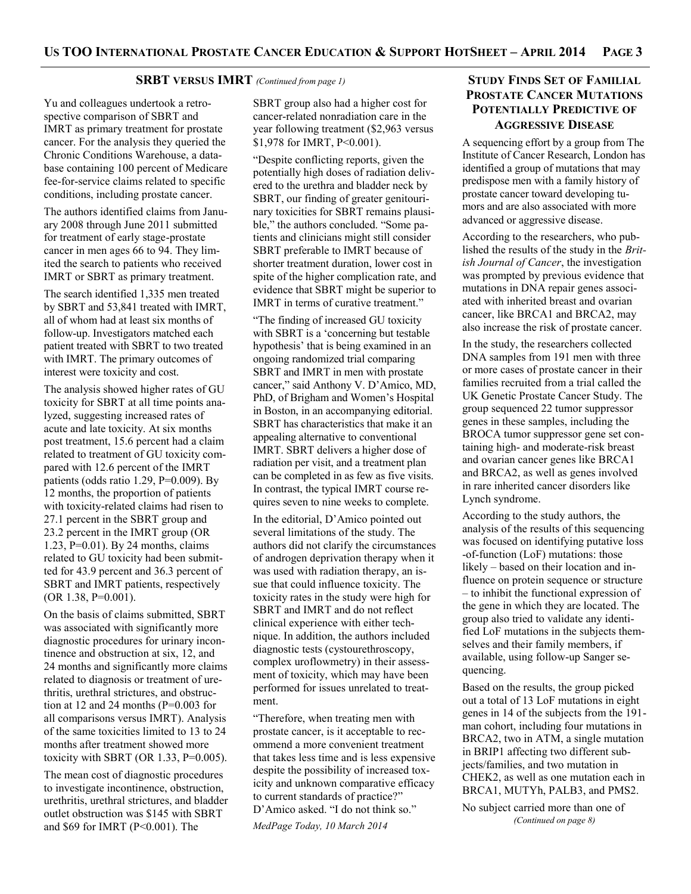#### **SRBT VERSUS IMRT** *(Continued from page 1)*

Yu and colleagues undertook a retrospective comparison of SBRT and IMRT as primary treatment for prostate cancer. For the analysis they queried the Chronic Conditions Warehouse, a database containing 100 percent of Medicare fee-for-service claims related to specific conditions, including prostate cancer.

The authors identified claims from January 2008 through June 2011 submitted for treatment of early stage-prostate cancer in men ages 66 to 94. They limited the search to patients who received IMRT or SBRT as primary treatment.

The search identified 1,335 men treated by SBRT and 53,841 treated with IMRT, all of whom had at least six months of follow-up. Investigators matched each patient treated with SBRT to two treated with IMRT. The primary outcomes of interest were toxicity and cost.

The analysis showed higher rates of GU toxicity for SBRT at all time points analyzed, suggesting increased rates of acute and late toxicity. At six months post treatment, 15.6 percent had a claim related to treatment of GU toxicity compared with 12.6 percent of the IMRT patients (odds ratio 1.29, P=0.009). By 12 months, the proportion of patients with toxicity-related claims had risen to 27.1 percent in the SBRT group and 23.2 percent in the IMRT group (OR 1.23, P=0.01). By 24 months, claims related to GU toxicity had been submitted for 43.9 percent and 36.3 percent of SBRT and IMRT patients, respectively (OR 1.38, P=0.001).

On the basis of claims submitted, SBRT was associated with significantly more diagnostic procedures for urinary incontinence and obstruction at six, 12, and 24 months and significantly more claims related to diagnosis or treatment of urethritis, urethral strictures, and obstruction at 12 and 24 months (P=0.003 for all comparisons versus IMRT). Analysis of the same toxicities limited to 13 to 24 months after treatment showed more toxicity with SBRT (OR  $1.33$ , P=0.005).

The mean cost of diagnostic procedures to investigate incontinence, obstruction, urethritis, urethral strictures, and bladder outlet obstruction was \$145 with SBRT and \$69 for IMRT (P<0.001). The

SBRT group also had a higher cost for cancer-related nonradiation care in the year following treatment (\$2,963 versus \$1,978 for IMRT, P<0.001).

"Despite conflicting reports, given the potentially high doses of radiation delivered to the urethra and bladder neck by SBRT, our finding of greater genitourinary toxicities for SBRT remains plausible," the authors concluded. "Some patients and clinicians might still consider SBRT preferable to IMRT because of shorter treatment duration, lower cost in spite of the higher complication rate, and evidence that SBRT might be superior to IMRT in terms of curative treatment."

"The finding of increased GU toxicity with SBRT is a 'concerning but testable hypothesis' that is being examined in an ongoing randomized trial comparing SBRT and IMRT in men with prostate cancer," said Anthony V. D'Amico, MD, PhD, of Brigham and Women's Hospital in Boston, in an accompanying editorial. SBRT has characteristics that make it an appealing alternative to conventional IMRT. SBRT delivers a higher dose of radiation per visit, and a treatment plan can be completed in as few as five visits. In contrast, the typical IMRT course requires seven to nine weeks to complete.

In the editorial, D'Amico pointed out several limitations of the study. The authors did not clarify the circumstances of androgen deprivation therapy when it was used with radiation therapy, an issue that could influence toxicity. The toxicity rates in the study were high for SBRT and IMRT and do not reflect clinical experience with either technique. In addition, the authors included diagnostic tests (cystourethroscopy, complex uroflowmetry) in their assessment of toxicity, which may have been performed for issues unrelated to treatment.

"Therefore, when treating men with prostate cancer, is it acceptable to recommend a more convenient treatment that takes less time and is less expensive despite the possibility of increased toxicity and unknown comparative efficacy to current standards of practice?" D'Amico asked. "I do not think so." *MedPage Today, 10 March 2014*

# **STUDY FINDS SET OF FAMILIAL PROSTATE CANCER MUTATIONS POTENTIALLY PREDICTIVE OF AGGRESSIVE DISEASE**

A sequencing effort by a group from The Institute of Cancer Research, London has identified a group of mutations that may predispose men with a family history of prostate cancer toward developing tumors and are also associated with more advanced or aggressive disease.

According to the researchers, who published the results of the study in the *British Journal of Cancer*, the investigation was prompted by previous evidence that mutations in DNA repair genes associated with inherited breast and ovarian cancer, like BRCA1 and BRCA2, may also increase the risk of prostate cancer.

In the study, the researchers collected DNA samples from 191 men with three or more cases of prostate cancer in their families recruited from a trial called the UK Genetic Prostate Cancer Study. The group sequenced 22 tumor suppressor genes in these samples, including the BROCA tumor suppressor gene set containing high- and moderate-risk breast and ovarian cancer genes like BRCA1 and BRCA2, as well as genes involved in rare inherited cancer disorders like Lynch syndrome.

According to the study authors, the analysis of the results of this sequencing was focused on identifying putative loss -of-function (LoF) mutations: those likely – based on their location and influence on protein sequence or structure – to inhibit the functional expression of the gene in which they are located. The group also tried to validate any identified LoF mutations in the subjects themselves and their family members, if available, using follow-up Sanger sequencing.

Based on the results, the group picked out a total of 13 LoF mutations in eight genes in 14 of the subjects from the 191 man cohort, including four mutations in BRCA2, two in ATM, a single mutation in BRIP1 affecting two different subjects/families, and two mutation in CHEK2, as well as one mutation each in BRCA1, MUTYh, PALB3, and PMS2.

No subject carried more than one of *(Continued on page 8)*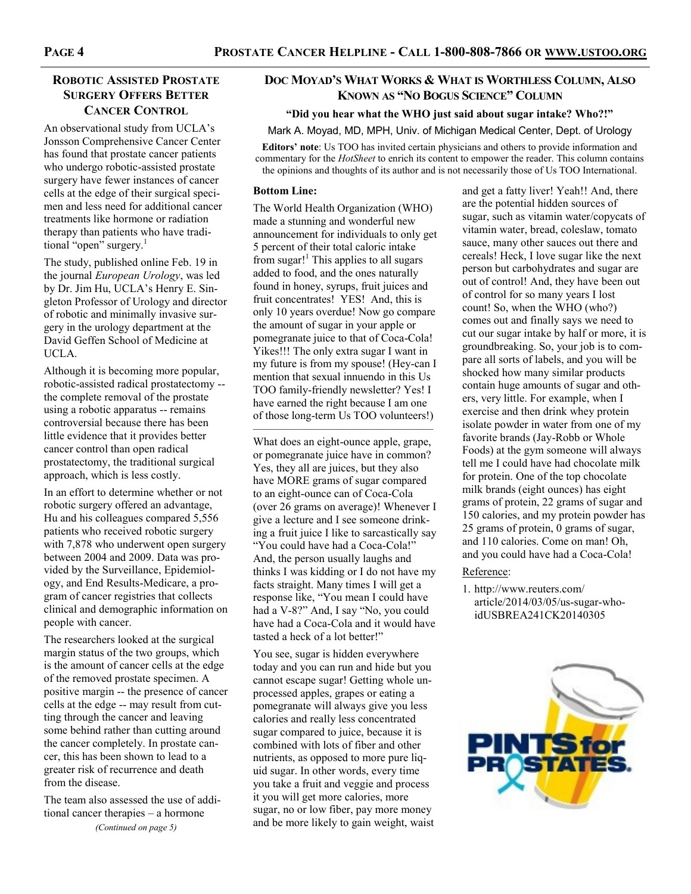# **ROBOTIC ASSISTED PROSTATE SURGERY OFFERS BETTER CANCER CONTROL**

An observational study from UCLA's Jonsson Comprehensive Cancer Center has found that prostate cancer patients who undergo robotic-assisted prostate surgery have fewer instances of cancer cells at the edge of their surgical specimen and less need for additional cancer treatments like hormone or radiation therapy than patients who have traditional "open" surgery.<sup>1</sup>

The study, published online Feb. 19 in the journal *European Urology*, was led by Dr. Jim Hu, UCLA's Henry E. Singleton Professor of Urology and director of robotic and minimally invasive surgery in the urology department at the David Geffen School of Medicine at UCLA.

Although it is becoming more popular, robotic-assisted radical prostatectomy - the complete removal of the prostate using a robotic apparatus -- remains controversial because there has been little evidence that it provides better cancer control than open radical prostatectomy, the traditional surgical approach, which is less costly.

In an effort to determine whether or not robotic surgery offered an advantage, Hu and his colleagues compared 5,556 patients who received robotic surgery with 7,878 who underwent open surgery between 2004 and 2009. Data was provided by the Surveillance, Epidemiology, and End Results-Medicare, a program of cancer registries that collects clinical and demographic information on people with cancer.

The researchers looked at the surgical margin status of the two groups, which is the amount of cancer cells at the edge of the removed prostate specimen. A positive margin -- the presence of cancer cells at the edge -- may result from cutting through the cancer and leaving some behind rather than cutting around the cancer completely. In prostate cancer, this has been shown to lead to a greater risk of recurrence and death from the disease.

The team also assessed the use of additional cancer therapies – a hormone *(Continued on page 5)*

# **DOC MOYAD'S WHAT WORKS & WHAT IS WORTHLESS COLUMN, ALSO KNOWN AS "NO BOGUS SCIENCE" COLUMN**

#### **"Did you hear what the WHO just said about sugar intake? Who?!"**

Mark A. Moyad, MD, MPH, Univ. of Michigan Medical Center, Dept. of Urology

**Editors' note**: Us TOO has invited certain physicians and others to provide information and commentary for the *HotSheet* to enrich its content to empower the reader. This column contains the opinions and thoughts of its author and is not necessarily those of Us TOO International.

#### **Bottom Line:**

The World Health Organization (WHO) made a stunning and wonderful new announcement for individuals to only get 5 percent of their total caloric intake from sugar! $<sup>1</sup>$  This applies to all sugars</sup> added to food, and the ones naturally found in honey, syrups, fruit juices and fruit concentrates! YES! And, this is only 10 years overdue! Now go compare the amount of sugar in your apple or pomegranate juice to that of Coca-Cola! Yikes!!! The only extra sugar I want in my future is from my spouse! (Hey-can I mention that sexual innuendo in this Us TOO family-friendly newsletter? Yes! I have earned the right because I am one of those long-term Us TOO volunteers!)

———————————————— What does an eight-ounce apple, grape, or pomegranate juice have in common? Yes, they all are juices, but they also have MORE grams of sugar compared to an eight-ounce can of Coca-Cola (over 26 grams on average)! Whenever I give a lecture and I see someone drinking a fruit juice I like to sarcastically say "You could have had a Coca-Cola!" And, the person usually laughs and thinks I was kidding or I do not have my facts straight. Many times I will get a response like, "You mean I could have had a V-8?" And, I say "No, you could have had a Coca-Cola and it would have tasted a heck of a lot better!"

You see, sugar is hidden everywhere today and you can run and hide but you cannot escape sugar! Getting whole unprocessed apples, grapes or eating a pomegranate will always give you less calories and really less concentrated sugar compared to juice, because it is combined with lots of fiber and other nutrients, as opposed to more pure liquid sugar. In other words, every time you take a fruit and veggie and process it you will get more calories, more sugar, no or low fiber, pay more money and be more likely to gain weight, waist

and get a fatty liver! Yeah!! And, there are the potential hidden sources of sugar, such as vitamin water/copycats of vitamin water, bread, coleslaw, tomato sauce, many other sauces out there and cereals! Heck, I love sugar like the next person but carbohydrates and sugar are out of control! And, they have been out of control for so many years I lost count! So, when the WHO (who?) comes out and finally says we need to cut our sugar intake by half or more, it is groundbreaking. So, your job is to compare all sorts of labels, and you will be shocked how many similar products contain huge amounts of sugar and others, very little. For example, when I exercise and then drink whey protein isolate powder in water from one of my favorite brands (Jay-Robb or Whole Foods) at the gym someone will always tell me I could have had chocolate milk for protein. One of the top chocolate milk brands (eight ounces) has eight grams of protein, 22 grams of sugar and 150 calories, and my protein powder has 25 grams of protein, 0 grams of sugar, and 110 calories. Come on man! Oh, and you could have had a Coca-Cola!

#### Reference:

1. http://www.reuters.com/ article/2014/03/05/us-sugar-whoidUSBREA241CK20140305

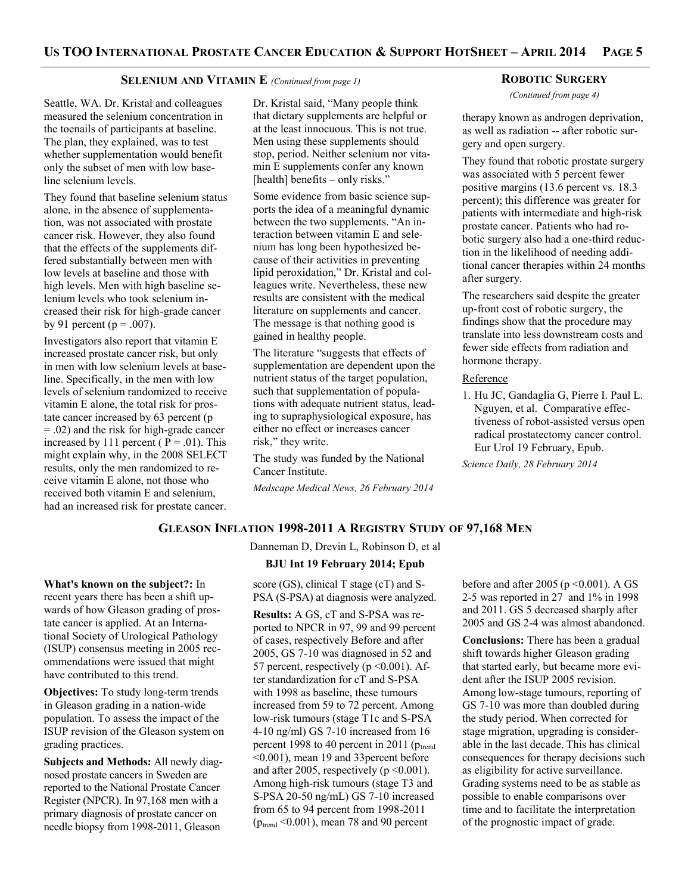#### **SELENIUM AND VITAMIN E** *(Continued from page 1)*

Seattle, WA. Dr. Kristal and colleagues measured the selenium concentration in the toenails of participants at baseline. The plan, they explained, was to test whether supplementation would benefit only the subset of men with low baseline selenium levels.

They found that baseline selenium status alone, in the absence of supplementation, was not associated with prostate cancer risk. However, they also found that the effects of the supplements differed substantially between men with low levels at baseline and those with high levels. Men with high baseline selenium levels who took selenium increased their risk for high-grade cancer by 91 percent ( $p = .007$ ).

Investigators also report that vitamin E increased prostate cancer risk, but only in men with low selenium levels at baseline. Specifically, in the men with low levels of selenium randomized to receive vitamin E alone, the total risk for prostate cancer increased by 63 percent (p = .02) and the risk for high-grade cancer increased by 111 percent ( $P = .01$ ). This might explain why, in the 2008 SELECT results, only the men randomized to receive vitamin E alone, not those who received both vitamin E and selenium, had an increased risk for prostate cancer.

**What's known on the subject?:** In recent years there has been a shift upwards of how Gleason grading of prostate cancer is applied. At an International Society of Urological Pathology (ISUP) consensus meeting in 2005 recommendations were issued that might

have contributed to this trend.

grading practices.

**Objectives:** To study long-term trends in Gleason grading in a nation-wide population. To assess the impact of the ISUP revision of the Gleason system on

**Subjects and Methods:** All newly diagnosed prostate cancers in Sweden are reported to the National Prostate Cancer Register (NPCR). In 97,168 men with a primary diagnosis of prostate cancer on needle biopsy from 1998-2011, Gleason

Dr. Kristal said, "Many people think that dietary supplements are helpful or at the least innocuous. This is not true. Men using these supplements should stop, period. Neither selenium nor vitamin E supplements confer any known [health] benefits – only risks."

Some evidence from basic science supports the idea of a meaningful dynamic between the two supplements. "An interaction between vitamin E and selenium has long been hypothesized because of their activities in preventing lipid peroxidation," Dr. Kristal and colleagues write. Nevertheless, these new results are consistent with the medical literature on supplements and cancer. The message is that nothing good is gained in healthy people.

The literature "suggests that effects of supplementation are dependent upon the nutrient status of the target population, such that supplementation of populations with adequate nutrient status, leading to supraphysiological exposure, has either no effect or increases cancer risk," they write.

The study was funded by the National Cancer Institute.

*Medscape Medical News, 26 February 2014*

#### **ROBOTIC SURGERY**

*(Continued from page 4)*

therapy known as androgen deprivation, as well as radiation -- after robotic surgery and open surgery.

They found that robotic prostate surgery was associated with 5 percent fewer positive margins (13.6 percent vs. 18.3 percent); this difference was greater for patients with intermediate and high-risk prostate cancer. Patients who had robotic surgery also had a one-third reduction in the likelihood of needing additional cancer therapies within 24 months after surgery.

The researchers said despite the greater up-front cost of robotic surgery, the findings show that the procedure may translate into less downstream costs and fewer side effects from radiation and hormone therapy.

#### **Reference**

1. Hu JC, Gandaglia G, Pierre I. Paul L. Nguyen, et al. Comparative effectiveness of robot-assisted versus open radical prostatectomy cancer control. Eur Urol 19 February, Epub.

*Science Daily, 28 February 2014*

# **GLEASON INFLATION 1998-2011 A REGISTRY STUDY OF 97,168 MEN**

Danneman D, Drevin L, Robinson D, et al **BJU Int 19 February 2014; Epub** score (GS), clinical T stage (cT) and S-

PSA (S-PSA) at diagnosis were analyzed.

**Results:** A GS, cT and S-PSA was reported to NPCR in 97, 99 and 99 percent of cases, respectively Before and after 2005, GS 7-10 was diagnosed in 52 and 57 percent, respectively ( $p \le 0.001$ ). After standardization for cT and S-PSA with 1998 as baseline, these tumours increased from 59 to 72 percent. Among low-risk tumours (stage T1c and S-PSA 4-10 ng/ml) GS 7-10 increased from 16 percent 1998 to 40 percent in 2011 ( $p_{trend}$ <0.001), mean 19 and 33percent before and after 2005, respectively ( $p \le 0.001$ ). Among high-risk tumours (stage T3 and S-PSA 20-50 ng/mL) GS 7-10 increased from 65 to 94 percent from 1998-2011  $(p_{trend} < 0.001)$ , mean 78 and 90 percent

before and after 2005 ( $p \le 0.001$ ). A GS 2-5 was reported in 27 and 1% in 1998 and 2011. GS 5 decreased sharply after 2005 and GS 2-4 was almost abandoned.

**Conclusions:** There has been a gradual shift towards higher Gleason grading that started early, but became more evident after the ISUP 2005 revision. Among low-stage tumours, reporting of GS 7-10 was more than doubled during the study period. When corrected for stage migration, upgrading is considerable in the last decade. This has clinical consequences for therapy decisions such as eligibility for active surveillance. Grading systems need to be as stable as possible to enable comparisons over time and to facilitate the interpretation of the prognostic impact of grade.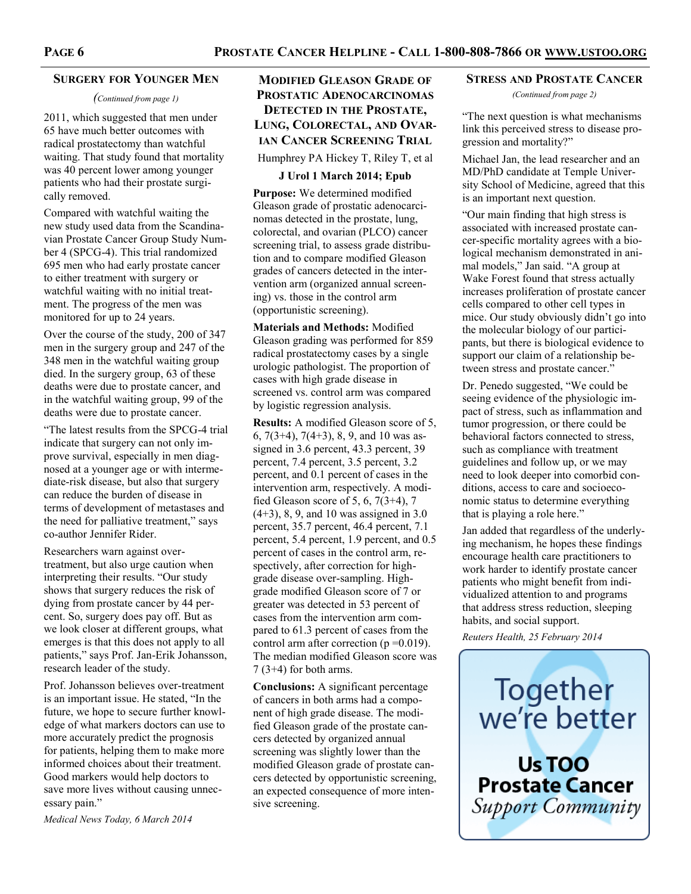#### **SURGERY FOR YOUNGER MEN**

#### *(Continued from page 1)*

2011, which suggested that men under 65 have much better outcomes with radical prostatectomy than watchful waiting. That study found that mortality was 40 percent lower among younger patients who had their prostate surgically removed.

Compared with watchful waiting the new study used data from the Scandinavian Prostate Cancer Group Study Number 4 (SPCG-4). This trial randomized 695 men who had early prostate cancer to either treatment with surgery or watchful waiting with no initial treatment. The progress of the men was monitored for up to 24 years.

Over the course of the study, 200 of 347 men in the surgery group and 247 of the 348 men in the watchful waiting group died. In the surgery group, 63 of these deaths were due to prostate cancer, and in the watchful waiting group, 99 of the deaths were due to prostate cancer.

"The latest results from the SPCG-4 trial indicate that surgery can not only improve survival, especially in men diagnosed at a younger age or with intermediate-risk disease, but also that surgery can reduce the burden of disease in terms of development of metastases and the need for palliative treatment," says co-author Jennifer Rider.

Researchers warn against overtreatment, but also urge caution when interpreting their results. "Our study shows that surgery reduces the risk of dying from prostate cancer by 44 percent. So, surgery does pay off. But as we look closer at different groups, what emerges is that this does not apply to all patients," says Prof. Jan-Erik Johansson, research leader of the study.

Prof. Johansson believes over-treatment is an important issue. He stated, "In the future, we hope to secure further knowledge of what markers doctors can use to more accurately predict the prognosis for patients, helping them to make more informed choices about their treatment. Good markers would help doctors to save more lives without causing unnecessary pain."

*Medical News Today, 6 March 2014*

# **MODIFIED GLEASON GRADE OF PROSTATIC ADENOCARCINOMAS DETECTED IN THE PROSTATE, LUNG, COLORECTAL, AND OVAR-IAN CANCER SCREENING TRIAL**

Humphrey PA Hickey T, Riley T, et al

#### **J Urol 1 March 2014; Epub**

**Purpose:** We determined modified Gleason grade of prostatic adenocarcinomas detected in the prostate, lung, colorectal, and ovarian (PLCO) cancer screening trial, to assess grade distribution and to compare modified Gleason grades of cancers detected in the intervention arm (organized annual screening) vs. those in the control arm (opportunistic screening).

**Materials and Methods:** Modified Gleason grading was performed for 859 radical prostatectomy cases by a single urologic pathologist. The proportion of cases with high grade disease in screened vs. control arm was compared by logistic regression analysis.

**Results:** A modified Gleason score of 5, 6, 7(3+4), 7(4+3), 8, 9, and 10 was assigned in 3.6 percent, 43.3 percent, 39 percent, 7.4 percent, 3.5 percent, 3.2 percent, and 0.1 percent of cases in the intervention arm, respectively. A modified Gleason score of 5, 6, 7(3+4), 7 (4+3), 8, 9, and 10 was assigned in 3.0 percent, 35.7 percent, 46.4 percent, 7.1 percent, 5.4 percent, 1.9 percent, and 0.5 percent of cases in the control arm, respectively, after correction for highgrade disease over-sampling. Highgrade modified Gleason score of 7 or greater was detected in 53 percent of cases from the intervention arm compared to 61.3 percent of cases from the control arm after correction  $(p=0.019)$ . The median modified Gleason score was  $7(3+4)$  for both arms.

**Conclusions:** A significant percentage of cancers in both arms had a component of high grade disease. The modified Gleason grade of the prostate cancers detected by organized annual screening was slightly lower than the modified Gleason grade of prostate cancers detected by opportunistic screening, an expected consequence of more intensive screening.

#### **STRESS AND PROSTATE CANCER**

*(Continued from page 2)*

"The next question is what mechanisms link this perceived stress to disease progression and mortality?"

Michael Jan, the lead researcher and an MD/PhD candidate at Temple University School of Medicine, agreed that this is an important next question.

"Our main finding that high stress is associated with increased prostate cancer-specific mortality agrees with a biological mechanism demonstrated in animal models," Jan said. "A group at Wake Forest found that stress actually increases proliferation of prostate cancer cells compared to other cell types in mice. Our study obviously didn't go into the molecular biology of our participants, but there is biological evidence to support our claim of a relationship between stress and prostate cancer."

Dr. Penedo suggested, "We could be seeing evidence of the physiologic impact of stress, such as inflammation and tumor progression, or there could be behavioral factors connected to stress, such as compliance with treatment guidelines and follow up, or we may need to look deeper into comorbid conditions, access to care and socioeconomic status to determine everything that is playing a role here."

Jan added that regardless of the underlying mechanism, he hopes these findings encourage health care practitioners to work harder to identify prostate cancer patients who might benefit from individualized attention to and programs that address stress reduction, sleeping habits, and social support.

*Reuters Health, 25 February 2014*

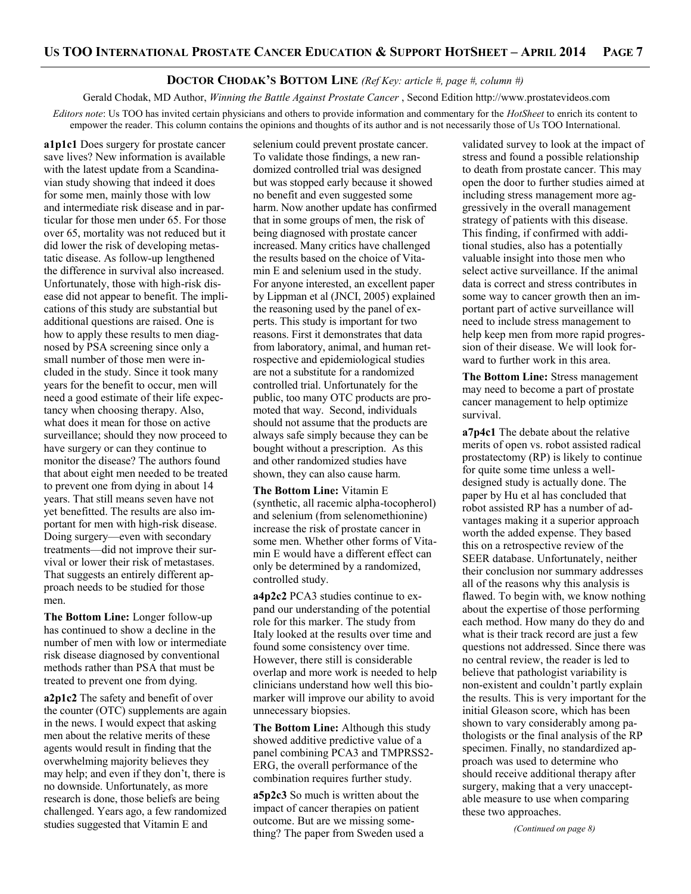#### **DOCTOR CHODAK'S BOTTOM LINE** *(Ref Key: article #, page #, column #)*

Gerald Chodak, MD Author, *Winning the Battle Against Prostate Cancer* , Second Edition http://www.prostatevideos.com *Editors note*: Us TOO has invited certain physicians and others to provide information and commentary for the *HotSheet* to enrich its content to empower the reader. This column contains the opinions and thoughts of its author and is not necessarily those of Us TOO International.

**a1p1c1** Does surgery for prostate cancer save lives? New information is available with the latest update from a Scandinavian study showing that indeed it does for some men, mainly those with low and intermediate risk disease and in particular for those men under 65. For those over 65, mortality was not reduced but it did lower the risk of developing metastatic disease. As follow-up lengthened the difference in survival also increased. Unfortunately, those with high-risk disease did not appear to benefit. The implications of this study are substantial but additional questions are raised. One is how to apply these results to men diagnosed by PSA screening since only a small number of those men were included in the study. Since it took many years for the benefit to occur, men will need a good estimate of their life expectancy when choosing therapy. Also, what does it mean for those on active surveillance; should they now proceed to have surgery or can they continue to monitor the disease? The authors found that about eight men needed to be treated to prevent one from dying in about 14 years. That still means seven have not yet benefitted. The results are also important for men with high-risk disease. Doing surgery—even with secondary treatments—did not improve their survival or lower their risk of metastases. That suggests an entirely different approach needs to be studied for those men.

**The Bottom Line:** Longer follow-up has continued to show a decline in the number of men with low or intermediate risk disease diagnosed by conventional methods rather than PSA that must be treated to prevent one from dying.

**a2p1c2** The safety and benefit of over the counter (OTC) supplements are again in the news. I would expect that asking men about the relative merits of these agents would result in finding that the overwhelming majority believes they may help; and even if they don't, there is no downside. Unfortunately, as more research is done, those beliefs are being challenged. Years ago, a few randomized studies suggested that Vitamin E and

selenium could prevent prostate cancer. To validate those findings, a new randomized controlled trial was designed but was stopped early because it showed no benefit and even suggested some harm. Now another update has confirmed that in some groups of men, the risk of being diagnosed with prostate cancer increased. Many critics have challenged the results based on the choice of Vitamin E and selenium used in the study. For anyone interested, an excellent paper by Lippman et al (JNCI, 2005) explained the reasoning used by the panel of experts. This study is important for two reasons. First it demonstrates that data from laboratory, animal, and human retrospective and epidemiological studies are not a substitute for a randomized controlled trial. Unfortunately for the public, too many OTC products are promoted that way. Second, individuals should not assume that the products are always safe simply because they can be bought without a prescription. As this and other randomized studies have shown, they can also cause harm.

**The Bottom Line:** Vitamin E (synthetic, all racemic alpha-tocopherol) and selenium (from selenomethionine) increase the risk of prostate cancer in some men. Whether other forms of Vitamin E would have a different effect can only be determined by a randomized, controlled study.

**a4p2c2** PCA3 studies continue to expand our understanding of the potential role for this marker. The study from Italy looked at the results over time and found some consistency over time. However, there still is considerable overlap and more work is needed to help clinicians understand how well this biomarker will improve our ability to avoid unnecessary biopsies.

**The Bottom Line:** Although this study showed additive predictive value of a panel combining PCA3 and TMPRSS2- ERG, the overall performance of the combination requires further study.

**a5p2c3** So much is written about the impact of cancer therapies on patient outcome. But are we missing something? The paper from Sweden used a validated survey to look at the impact of stress and found a possible relationship to death from prostate cancer. This may open the door to further studies aimed at including stress management more aggressively in the overall management strategy of patients with this disease. This finding, if confirmed with additional studies, also has a potentially valuable insight into those men who select active surveillance. If the animal data is correct and stress contributes in some way to cancer growth then an important part of active surveillance will need to include stress management to help keep men from more rapid progression of their disease. We will look forward to further work in this area.

**The Bottom Line:** Stress management may need to become a part of prostate cancer management to help optimize survival.

**a7p4c1** The debate about the relative merits of open vs. robot assisted radical prostatectomy (RP) is likely to continue for quite some time unless a welldesigned study is actually done. The paper by Hu et al has concluded that robot assisted RP has a number of advantages making it a superior approach worth the added expense. They based this on a retrospective review of the SEER database. Unfortunately, neither their conclusion nor summary addresses all of the reasons why this analysis is flawed. To begin with, we know nothing about the expertise of those performing each method. How many do they do and what is their track record are just a few questions not addressed. Since there was no central review, the reader is led to believe that pathologist variability is non-existent and couldn't partly explain the results. This is very important for the initial Gleason score, which has been shown to vary considerably among pathologists or the final analysis of the RP specimen. Finally, no standardized approach was used to determine who should receive additional therapy after surgery, making that a very unacceptable measure to use when comparing these two approaches.

*(Continued on page 8)*